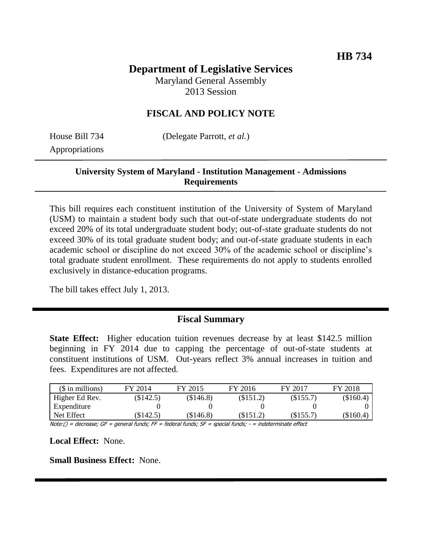# **Department of Legislative Services**

Maryland General Assembly 2013 Session

# **FISCAL AND POLICY NOTE**

Appropriations

House Bill 734 (Delegate Parrott, *et al.*)

# **University System of Maryland - Institution Management - Admissions Requirements**

This bill requires each constituent institution of the University of System of Maryland (USM) to maintain a student body such that out-of-state undergraduate students do not exceed 20% of its total undergraduate student body; out-of-state graduate students do not exceed 30% of its total graduate student body; and out-of-state graduate students in each academic school or discipline do not exceed 30% of the academic school or discipline's total graduate student enrollment. These requirements do not apply to students enrolled exclusively in distance-education programs.

The bill takes effect July 1, 2013.

# **Fiscal Summary**

**State Effect:** Higher education tuition revenues decrease by at least \$142.5 million beginning in FY 2014 due to capping the percentage of out-of-state students at constituent institutions of USM. Out-years reflect 3% annual increases in tuition and fees. Expenditures are not affected.

| $($$ in millions) | FY 2014   | FY 2015       | FY 2016   | FY 2017 | FY 2018   |
|-------------------|-----------|---------------|-----------|---------|-----------|
| Higher Ed Rev.    | (\$142.5) | (\$146.8)     | (\$151.2) | \$155.7 | (\$160.4) |
| Expenditure       |           |               |           |         |           |
| Net Effect        | (\$142.5) | (\$146.8)     | (\$151.2) | \$155.7 | (\$160.4) |
| $\mathbf{A}$      |           | 1.11.17.17.77 |           |         |           |

Note:() = decrease; GF = general funds; FF = federal funds; SF = special funds; - = indeterminate effect

**Local Effect:** None.

**Small Business Effect:** None.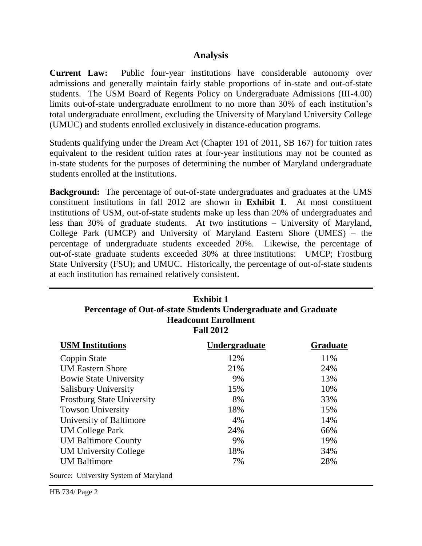#### **Analysis**

**Current Law:** Public four-year institutions have considerable autonomy over admissions and generally maintain fairly stable proportions of in-state and out-of-state students. The USM Board of Regents Policy on Undergraduate Admissions (III-4.00) limits out-of-state undergraduate enrollment to no more than 30% of each institution's total undergraduate enrollment, excluding the University of Maryland University College (UMUC) and students enrolled exclusively in distance-education programs.

Students qualifying under the Dream Act (Chapter 191 of 2011, SB 167) for tuition rates equivalent to the resident tuition rates at four-year institutions may not be counted as in-state students for the purposes of determining the number of Maryland undergraduate students enrolled at the institutions.

**Background:** The percentage of out-of-state undergraduates and graduates at the UMS constituent institutions in fall 2012 are shown in **Exhibit 1**. At most constituent institutions of USM, out-of-state students make up less than 20% of undergraduates and less than 30% of graduate students. At two institutions – University of Maryland, College Park (UMCP) and University of Maryland Eastern Shore (UMES) – the percentage of undergraduate students exceeded 20%. Likewise, the percentage of out-of-state graduate students exceeded 30% at three institutions: UMCP; Frostburg State University (FSU); and UMUC. Historically, the percentage of out-of-state students at each institution has remained relatively consistent.

| <b>Exhibit 1</b><br>Percentage of Out-of-state Students Undergraduate and Graduate<br><b>Headcount Enrollment</b><br><b>Fall 2012</b> |                      |                 |  |
|---------------------------------------------------------------------------------------------------------------------------------------|----------------------|-----------------|--|
| <b>USM</b> Institutions                                                                                                               | <b>Undergraduate</b> | <b>Graduate</b> |  |
| Coppin State                                                                                                                          | 12%                  | 11%             |  |
| <b>UM Eastern Shore</b>                                                                                                               | 21%                  | 24%             |  |
| <b>Bowie State University</b>                                                                                                         | 9%                   | 13%             |  |
| <b>Salisbury University</b>                                                                                                           | 15%                  | 10%             |  |
| <b>Frostburg State University</b>                                                                                                     | 8%                   | 33%             |  |
| <b>Towson University</b>                                                                                                              | 18%                  | 15%             |  |
| University of Baltimore                                                                                                               | 4%                   | 14%             |  |
| <b>UM College Park</b>                                                                                                                | 24%                  | 66%             |  |
| <b>UM Baltimore County</b>                                                                                                            | 9%                   | 19%             |  |
| <b>UM University College</b>                                                                                                          | 18%                  | 34%             |  |
| <b>UM Baltimore</b>                                                                                                                   | 7%                   | 28%             |  |
| Source: University System of Maryland                                                                                                 |                      |                 |  |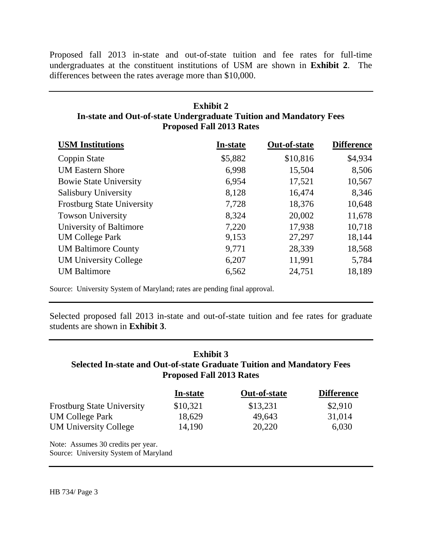Proposed fall 2013 in-state and out-of-state tuition and fee rates for full-time undergraduates at the constituent institutions of USM are shown in **Exhibit 2**. The differences between the rates average more than \$10,000.

# **Exhibit 2 In-state and Out-of-state Undergraduate Tuition and Mandatory Fees Proposed Fall 2013 Rates**

| <b>USM</b> Institutions           | <b>In-state</b> | Out-of-state | <b>Difference</b> |
|-----------------------------------|-----------------|--------------|-------------------|
| Coppin State                      | \$5,882         | \$10,816     | \$4,934           |
| <b>UM Eastern Shore</b>           | 6,998           | 15,504       | 8,506             |
| <b>Bowie State University</b>     | 6,954           | 17,521       | 10,567            |
| Salisbury University              | 8,128           | 16,474       | 8,346             |
| <b>Frostburg State University</b> | 7,728           | 18,376       | 10,648            |
| <b>Towson University</b>          | 8,324           | 20,002       | 11,678            |
| University of Baltimore           | 7,220           | 17,938       | 10,718            |
| <b>UM College Park</b>            | 9,153           | 27,297       | 18,144            |
| <b>UM Baltimore County</b>        | 9,771           | 28,339       | 18,568            |
| <b>UM University College</b>      | 6,207           | 11,991       | 5,784             |
| <b>UM Baltimore</b>               | 6,562           | 24,751       | 18,189            |

Source: University System of Maryland; rates are pending final approval.

Selected proposed fall 2013 in-state and out-of-state tuition and fee rates for graduate students are shown in **Exhibit 3**.

# **Exhibit 3 Selected In-state and Out-of-state Graduate Tuition and Mandatory Fees Proposed Fall 2013 Rates**

|                                                                             | In-state | Out-of-state | <b>Difference</b> |
|-----------------------------------------------------------------------------|----------|--------------|-------------------|
| <b>Frostburg State University</b>                                           | \$10,321 | \$13,231     | \$2,910           |
| <b>UM College Park</b>                                                      | 18,629   | 49,643       | 31,014            |
| <b>UM University College</b>                                                | 14,190   | 20,220       | 6,030             |
| Note: Assumes 30 credits per year.<br>Source: University System of Maryland |          |              |                   |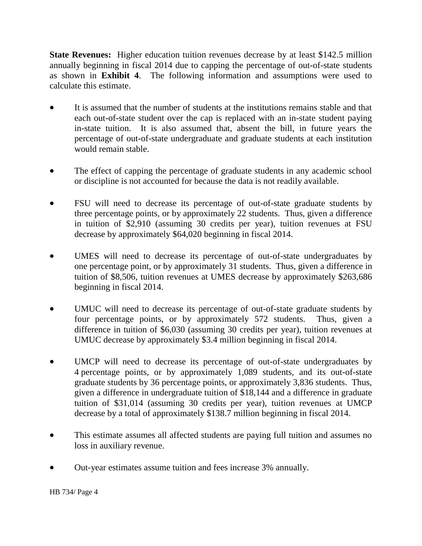**State Revenues:** Higher education tuition revenues decrease by at least \$142.5 million annually beginning in fiscal 2014 due to capping the percentage of out-of-state students as shown in **Exhibit 4**. The following information and assumptions were used to calculate this estimate.

- It is assumed that the number of students at the institutions remains stable and that each out-of-state student over the cap is replaced with an in-state student paying in-state tuition. It is also assumed that, absent the bill, in future years the percentage of out-of-state undergraduate and graduate students at each institution would remain stable.
- The effect of capping the percentage of graduate students in any academic school or discipline is not accounted for because the data is not readily available.
- FSU will need to decrease its percentage of out-of-state graduate students by three percentage points, or by approximately 22 students. Thus, given a difference in tuition of \$2,910 (assuming 30 credits per year), tuition revenues at FSU decrease by approximately \$64,020 beginning in fiscal 2014.
- UMES will need to decrease its percentage of out-of-state undergraduates by one percentage point, or by approximately 31 students. Thus, given a difference in tuition of \$8,506, tuition revenues at UMES decrease by approximately \$263,686 beginning in fiscal 2014.
- UMUC will need to decrease its percentage of out-of-state graduate students by four percentage points, or by approximately 572 students. Thus, given a difference in tuition of \$6,030 (assuming 30 credits per year), tuition revenues at UMUC decrease by approximately \$3.4 million beginning in fiscal 2014.
- UMCP will need to decrease its percentage of out-of-state undergraduates by 4 percentage points, or by approximately 1,089 students, and its out-of-state graduate students by 36 percentage points, or approximately 3,836 students. Thus, given a difference in undergraduate tuition of \$18,144 and a difference in graduate tuition of \$31,014 (assuming 30 credits per year), tuition revenues at UMCP decrease by a total of approximately \$138.7 million beginning in fiscal 2014.
- This estimate assumes all affected students are paying full tuition and assumes no loss in auxiliary revenue.
- Out-year estimates assume tuition and fees increase 3% annually.